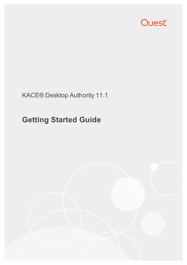

## KACE® Desktop Authority 11.1

# **Getting Started Guide**

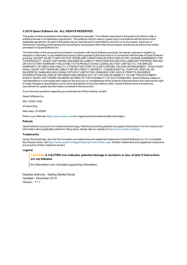#### **© 2019 Quest Software Inc. ALL RIGHTS RESERVED.**

This guide contains proprietary information protected by copyright. The software described in this guide is furnished under a software license or nondisclosure agreement. This software may be used or copied only in accordance with the terms of the applicable agreement. No part of this guide may be reproduced or transmitted in any form or by any means, electronic or mechanical, including photocopying and recording for any purpose other than the purchaser's personal use without the written permission of Quest Software Inc.

The information in this document is provided in connection with Quest Software products. No license, express or implied, by estoppel or otherwise, to any intellectual property right is granted by this document or in connection with the sale of Quest Software products. EXCEPT AS SET FORTH IN THE TERMS AND CONDITIONS AS SPECIFIED IN THE LICENSE AGREEMENT FOR THIS PRODUCT, QUEST SOFTWARE ASSUMES NO LIABILITY WHATSOEVER AND DISCLAIMS ANY EXPRESS, IMPLIED OR STATUTORY WARRANTY RELATING TO ITS PRODUCTS INCLUDING, BUT NOT LIMITED TO, THE IMPLIED WARRANTY OF MERCHANTABILITY, FITNESS FOR A PARTICULAR PURPOSE, OR NON-INFRINGEMENT. IN NO EVENT SHALL QUEST SOFTWARE BE LIABLE FOR ANY DIRECT, INDIRECT, CONSEQUENTIAL, PUNITIVE, SPECIAL OR INCIDENTAL DAMAGES (INCLUDING, WITHOUT LIMITATION, DAMAGES FOR LOSS OF PROFITS, BUSINESS INTERRUPTION OR LOSS OF INFORMATION) ARISING OUT OF THE USE OR INABILITY TO USE THIS DOCUMENT, EVEN IF QUEST SOFTWARE HAS BEEN ADVISED OF THE POSSIBILITY OF SUCH DAMAGES. Quest Software makes no representations or warranties with respect to the accuracy or completeness of the contents of this document and reserves the right to make changes to specifications and product descriptions at any time without notice. Quest Software does not make any commitment to update the information contained in this document..

If you have any questions regarding your potential use of this material, contact:

Quest Software Inc.

Attn: LEGAL Dept

4 PolarisWay

Aliso Viejo, CA 92656

Refer to our Web site ([https://www.quest.com](https://www.quest.com/)) for regional and international office information.

#### **Patents**

Quest Software is proud of our advanced technology. Patents and pending patents may apply to this product. For the most current information about applicable patents for this product, please visit our website at <https://www.quest.com/legal>.

#### **Trademarks**

Quest, the Quest logo, and Join the Innovation are trademarks and registered trademarks of Quest Software Inc. For a complete list of Quest marks, visit <https://www.quest.com/legal/trademark-information.aspx>. All other trademarks and registered trademarks are property of their respective owners.

#### **Legend**

#### **CAUTION: A CAUTION icon indicates potential damage to hardware or loss of data if instructions are not followed.**

An information icon indicates supporting information.

Desktop Authority - Getting Started Guide Updated - December 2019 Version - 11.1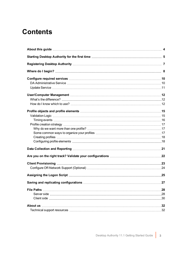## **Contents**

| <b>File Paths</b> |  |
|-------------------|--|
|                   |  |
|                   |  |
|                   |  |
|                   |  |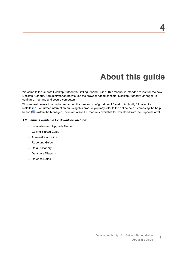# **About this guide**

<span id="page-3-0"></span>Welcome to the Quest® Desktop Authority® Getting Started Guide. This manual is intended to instruct the new Desktop Authority Administrator on how to use the browser based console "Desktop Authority Manager" to configure, manage and secure computers.

This manual covers information regarding the use and configuration of Desktop Authority following its installation. For further information on using this product you may refer to the online help by pressing the help button ( $\bullet$ ) within the Manager. There are also PDF manuals available for download from the Support Portal.

### *All manuals available for download include:*

- Installation and Upgrade Guide
- Getting Started Guide
- Administrator Guide
- Reporting Guide
- Data Dictionary
- Database Diagram
- Release Notes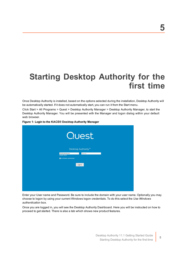# <span id="page-4-0"></span>**Starting Desktop Authority for the first time**

Once Desktop Authority is installed, based on the options selected during the installation, Desktop Authority will be automatically started. If it does not automatically start, you can run it from the Start menu.

Click Start > All Programs > Quest > Desktop Authority Manager > Desktop Authority Manager, to start the Desktop Authority Manager. You will be presented with the Manager and logon dialog within your default web browser.

**Figure 1: Login to the KACE® Desktop Authority Manager**



Enter your User name and Password. Be sure to include the domain with your user name. Optionally you may choose to logon by using your current Windows logon credentials. To do this select the *Use Windows authentication* box.

Once you are logged in, you will see the Desktop Authority Dashboard. Here you will be instructed on how to proceed to get started. There is also a tab which shows new product features.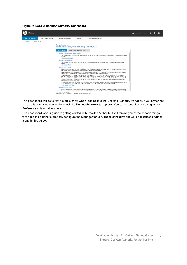#### **Figure 2: KACE® Desktop Authority Dashboard**



The dashboard will be te first dialog to show when logging into the Desktop Authority Manager. If you prefer not to see this each time you log in, check the **Do not show on startup** box. You can re-enable this setting in the Preferences dialog at any time.

The dashboard is your guide to getting started with Desktop Authority. It will remind you of the specific things that need to be done to properly configure the Manager for use. These configurations will be discussed further along in this guide.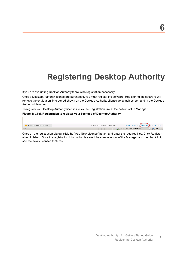## **6**

# <span id="page-6-0"></span>**Registering Desktop Authority**

If you are evaluating Desktop Authority there is no registration necessary.

Once a Desktop Authority license are purchased, you must register the software. Registering the software will remove the evaluation time period shown on the Desktop Authority client side splash screen and in the Desktop Authority Manager.

To register your Desktop Authority licenses, click the Registration link at the bottom of the Manager.

#### **Figure 3: Click Registration to register your licenses of Desktop Authority**

| Replicate changed files (default) $\blacktriangledown$ | Loaded in 0.4 seconds   Version 9.2.0 | Customer Feedback (Registration) Getting Started |                                                    |
|--------------------------------------------------------|---------------------------------------|--------------------------------------------------|----------------------------------------------------|
| l Done                                                 | $\mathbb{R}$                          | Trusted sites   Protected Mode: Off              | $\frac{1}{2}$ = $\frac{1}{2}$ 100% + $\frac{1}{2}$ |

Once on the registration dialog, click the "Add New License" button and enter the required Key. Click Register when finished. Once the registration information is saved, be sure to logout of the Manager and then back in to see the newly licensed features.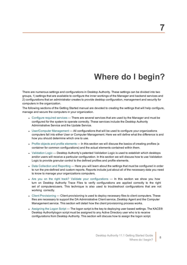# **Where do I begin?**

<span id="page-7-0"></span>There are numerous settings and configurations in Desktop Authority. These settings can be divided into two groups, 1) settings that are available to configure the inner workings of the Manager and backend services and 2) configurations that an administrator creates to provide desktop configuration, management and security for computers in the organization.

The following sections of the Getting Started manual are devoted to creating the settings that will help configure, manage and secure the computers in your organization.

- [Configure](#page-9-0) required services There are several services that are used by the Manager and must be configured for the system to operate correctly. These services include the Desktop Authority Administrative Service and the Update Service.
- [User/Computer](#page-11-0) Management All configurations that will be used to configure your organizations computers fall into either User or Computer Management. Here we will define what the difference is and how you should determine which one to use.
- Profile objects and profile [elements](#page-14-0) In this section we will discuss the basics of creating profiles (a container for common configurations) and the actual elements contained within them.
- [Validation](#page-14-1) Logic Desktop Authority's patented Validation Logic is used to establish which desktops and/or users will receive a particular configuration. In this section we will discuss how to use Validation Logic to provide granular control to the defined profiles and profile elements.
- Data [Collection](#page-20-0) and Reporting Here you will learn about the settings that must be configured in order to run the pre-defined and custom reports. Reports include just about all of the necessary data you need to know to manage your organizations computers.
- Are you on the right track? Validate your [configurations](#page-21-0) In this section we show you how turn on Desktop Authority Trace Files to verify configurations are applied correctly to the right set of computers/users. This technique is also used to troubleshoot configurations that are not working correctly.
- Client [Provisioning](#page-22-0) Client provisioning is used to deploy necessary files to client computers. These files are necessary to support the DA Administrative Client service, Desktop Agent and the Computer Management service. This section will detail how the client provisioning process works.
- [Assigning](#page-24-0) the Logon Script The logon script is the key to deploying user based settings. The KACE® Desktop Authoritylogon script must be assigned to any Active Directory user who is to receive configurations from Desktop Authority. This section will discuss how to assign the logon script.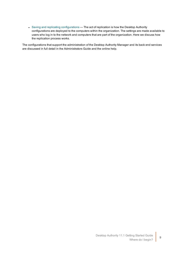• Saving and replicating [configurations](#page-26-0) — The act of replication is how the Desktop Authority configurations are deployed to the computers within the organization. The settings are made available to users who log in to the network and computers that are part of the organization. Here we discuss how the replication process works.

The configurations that support the administration of the Desktop Authority Manager and its back end services are discussed in full detail in the Administrators Guide and the online help.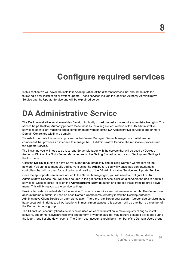# **Configure required services**

<span id="page-9-0"></span>In this section we will cover the installation/configuration of the different services that should be installed following a new installation or system update. These services include the Desktop Authority Administrative Service and the Update Service and will be explained below.

## <span id="page-9-1"></span>**DA Administrative Service**

The DA Administrative service enables Desktop Authority to perform tasks that require administrative rights. This service helps Desktop Authority perform these tasks by installing a client version of the DA Administrative service to each client machine and a complementary version of the DA Administrative service to one or more Domain Controllers within the domain.

To install or update this service, proceed to the Server Manager. Server Manager is a multi-threaded component that provides an interface to manage the DA Administrative Service, the replication process and the Update Service.

The first thing you will need to do is to load Server Manager with the servers that will be used by Desktop Authority. Click on the Go to Server Manager link on the Getting Started tab or click on Deployment Settings in the top menu.

Click the **Discover** button to have Server Manager automatically find existing Domain Controllers on the network. You can also manually add servers using the **Add** button. You will want to add servers/domain controllers that will be used for replication and hosting of the DA Administrative Service and Update Service.

Once the appropriate servers are added to the Server Manager grid, you will need to configure the DA Administrative Service. You will see a column in the grid for this service. Click on a server in the grid to add this service to. Once selected, click on the **Administrative Service** button and choose Install from the drop down menu. This will bring you to the service settings.

Provide two sets of credentials for the service. This service requires two unique user accounts. The Server user account (domain admin) is used on each Domain Controller to remotely install the Desktop Authority Administrative Client Service on each workstation. Therefore, the Server user account (server side service) must have Local Admin rights to all workstations. In most circumstances, this account will be one that is a member of the Domain Admins group.

The Client User account (client side service) is used on each workstation to make registry changes, install software, add printers, synchronize time and perform any other task that may require elevated privileges during the logon, logoff or shutdown events. The Client user account should be a member of the Domain Users group.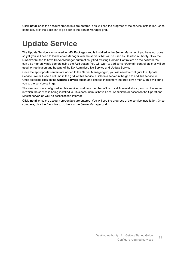<span id="page-10-0"></span>Click **Install** once the account credentials are entered. You will see the progress of the service installation. Once complete, click the Back link to go back to the Server Manager grid.

# **Update Service**

The Update Service is only used for MSI Packages and is installed in the Server Manager. If you have not done so yet, you will need to load Server Manager with the servers that will be used by Desktop Authority. Click the **Discover** button to have Server Manager automatically find existing Domain Controllers on the network. You can also manually add servers using the **Add** button. You will want to add servers/domain controllers that will be used for replication and hosting of the DA Administrative Service and Update Service.

Once the appropriate servers are added to the Server Manager grid, you will need to configure the Update Service. You will see a column in the grid for this service. Click on a server in the grid to add this service to. Once selected, click on the **Update Service** button and choose Install from the drop down menu. This will bring you to the service settings.

The user account configured for this service must be a member of the Local Administrators group on the server in which the service is being installed to. This account must have Local Administrator access to the Operations Master server, as well as access to the Internet.

Click **Install** once the account credentials are entered. You will see the progress of the service installation. Once complete, click the Back link to go back to the Server Manager grid.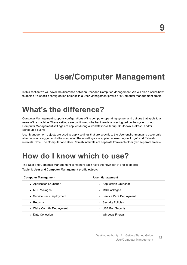### **9**

# **User/Computer Management**

<span id="page-11-1"></span><span id="page-11-0"></span>In this section we will cover the difference between User and Computer Management. We will also discuss how to decide if a specific configuration belongs in a User Management profile or a Computer Management profile.

## **What's the difference?**

Computer Management supports configurations of the computer operating system and options that apply to all users of the machine. These settings are configured whether there is a user logged on the system or not. Computer Management settings are applied during a workstations Startup, Shutdown, Refresh, and/or Scheduled events.

User Management objects are used to apply settings that are specific to the User environment and occur only when a user is logged on to the computer. These settings are applied at user Logon, Logoff and Refresh intervals. Note: The Computer and User Refresh intervals are separate from each other (two separate timers).

## <span id="page-11-2"></span>**How do I know which to use?**

The User and Computer Management containers each have their own set of profile objects.

**Table 1: User and Computer Management profile objects**

| <b>Computer Management</b> | <b>User Management</b>    |
|----------------------------|---------------------------|
| • Application Launcher     | • Application Launcher    |
| • MSI Packages             | • MSI Packages            |
| • Service Pack Deployment  | • Service Pack Deployment |
| Registry<br>$\bullet$      | • Security Policies       |
| • Wake On LAN Deployment   | • USB/Port Security       |
| Data Collection            | • Windows Firewall        |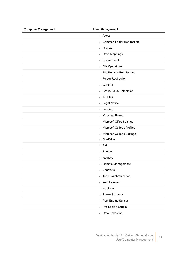| <b>Computer Management</b> | <b>User Management</b>                         |
|----------------------------|------------------------------------------------|
|                            | • Alerts                                       |
|                            | <b>Common Folder Redirection</b><br>$\bullet$  |
|                            | • Display                                      |
|                            | • Drive Mappings                               |
|                            | Environment<br>$\bullet$                       |
|                            | • File Operations                              |
|                            | • File/Registry Permissions                    |
|                            | • Folder Redirection                           |
|                            | • General                                      |
|                            | • Group Policy Templates                       |
|                            | • INI Files                                    |
|                            | • Legal Notice                                 |
|                            | • Logging                                      |
|                            | • Message Boxes                                |
|                            | • Microsoft Office Settings                    |
|                            | <b>Microsoft Outlook Profiles</b><br>$\bullet$ |
|                            | • Microsoft Outlook Settings                   |
|                            | OneDrive                                       |
|                            | • Path                                         |
|                            | • Printers                                     |
|                            | • Registry                                     |
|                            | • Remote Management                            |
|                            | Shortcuts<br>$\bullet$                         |
|                            | • Time Synchronization                         |
|                            | Web Browser<br>$\bullet$                       |
|                            | • Inactivity                                   |
|                            | • Power Schemes                                |
|                            | • Post-Engine Scripts                          |
|                            | • Pre-Engine Scripts                           |
|                            | • Data Collection                              |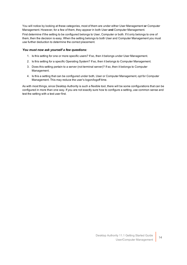You will notice by looking at these categories, most of them are under either User Management **or** Computer Management. However, for a few of them, they appear in both User **and** Computer Management.

First determine if the setting to be configured belongs to User, Computer or both. If it only belongs to one of them, then the decision is easy. When the setting belongs to both User and Computer Management you must use further deduction to determine the correct placement.

### *You must now ask yourself a few questions:*

- 1. Is this setting for one or more specific users? If so, then it belongs under User Management.
- 2. Is this setting for a specific Operating System? If so, then it belongs to Computer Management.
- 3. Does this setting pertain to a server (not terminal server)? If so, then it belongs to Computer Management.
- 4. Is this a setting that can be configured under both, User or Computer Management, opt for Computer Management. This may reduce the user's logon/logoff time.

As with most things, since Desktop Authority is such a flexible tool, there will be some configurations that can be configured in more than one way. If you are not exactly sure how to configure a setting, use common sense and test the setting with a test user first.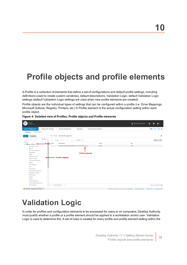# <span id="page-14-0"></span>**Profile objects and profile elements**

A Profile is a collection of elements that define a set of configurations and default profile settings, including definitions (used to create custom variables), default descriptions, Validation Logic, default Validation Logic settings (default Validation Logic settings are used when new profile elements are created).

Profile objects are the individual types of settings that can be configured within a profile (i.e. Drive Mappings, Microsoft Outlook, Registry, Printers, etc.) A Profile element is the actual configuration setting within each profile object.

| ACE <sup>®</sup><br>esktop Authority                       |                                                                                                                |                                |                                                                      | ■ ITACHI\Administrator ▼<br>$\mathbf{0}$<br>A<br>۰ |
|------------------------------------------------------------|----------------------------------------------------------------------------------------------------------------|--------------------------------|----------------------------------------------------------------------|----------------------------------------------------|
| <b>Client Configuration</b>                                | <b>Deployment Settings</b><br><b>Remote Management</b><br>Reporting                                            | <b>Console Access Settings</b> |                                                                      | <b>Favorites</b> $\bigoplus$ $\bigoplus$           |
| <b>Global Options</b><br><b>Profiles</b>                   |                                                                                                                |                                |                                                                      |                                                    |
| Computer<br><b>User</b>                                    | New Profile - Remote Management                                                                                |                                |                                                                      | $\left(2\right)$                                   |
| 个 Up<br>$\downarrow$ Down<br>$+$ Add                       | Actions $\sim$<br>$\Box$<br>+ Add / Edit 个 Up ↓ Down Actions ▼                                                 |                                |                                                                      | Filter Off                                         |
| Profiles<br>$\vee$ <b>New Profile</b> (1)                  | - Profile Order<br>Description                                                                                 | <b>Action</b>                  | Port                                                                 |                                                    |
| Pre-Engine Scripts                                         | [Created: administrator 2012R2-DC1-L 06/26/2017 16:10]<br>$\overline{1}$                                       | Install                        | 7007                                                                 |                                                    |
| General                                                    |                                                                                                                |                                |                                                                      |                                                    |
| <b>Time Synchronization</b>                                |                                                                                                                |                                |                                                                      |                                                    |
| <b>Legal Notice</b>                                        |                                                                                                                | <b>Profile element</b>         |                                                                      |                                                    |
| <b>Display</b>                                             |                                                                                                                |                                |                                                                      |                                                    |
| <b>USB/Port Security</b>                                   | <b>Profile objects</b>                                                                                         |                                |                                                                      |                                                    |
| <b>Security Policies</b>                                   |                                                                                                                |                                |                                                                      |                                                    |
| <b>Group Policy Templates</b>                              |                                                                                                                |                                |                                                                      |                                                    |
| Registry                                                   |                                                                                                                |                                |                                                                      |                                                    |
| <b>Drive Mappings</b>                                      |                                                                                                                |                                |                                                                      |                                                    |
| Path                                                       |                                                                                                                |                                |                                                                      |                                                    |
| Environment                                                |                                                                                                                |                                |                                                                      |                                                    |
| Service Pack Deployment                                    |                                                                                                                |                                |                                                                      |                                                    |
| <b>Application Launcher</b>                                |                                                                                                                |                                |                                                                      |                                                    |
| <b>MSI Packages</b>                                        |                                                                                                                |                                |                                                                      |                                                    |
| <b>Printers</b>                                            |                                                                                                                |                                |                                                                      |                                                    |
| <b>INFERES</b>                                             |                                                                                                                |                                |                                                                      |                                                    |
| <b>Folder Redirection</b>                                  |                                                                                                                |                                |                                                                      |                                                    |
| <b>Common Folder Redirection</b><br><b>File Operations</b> |                                                                                                                |                                |                                                                      |                                                    |
|                                                            | $ \langle \ \langle \ \text{Page} \ \text{1} \ \ \text{Go of} \ \text{1} \ \rangle \ \rangle $<br>$\mathbf{v}$ |                                |                                                                      | Items per page 50 Go                               |
| Replicate changed files (default) $\blacktriangledown$     |                                                                                                                |                                | Loaded in 0.24 seconds   Version 10.1.0.904 Beta1  Customer Feedback | <b>Registration Getting Started</b>                |

**Figure 4: Detailed view of Profiles, Profile objects and Profile elements**

# <span id="page-14-1"></span>**Validation Logic**

In order for profiles and configuration elements to be processed for users or on computers, Desktop Authority must qualify whether a profile or a profile element should be applied to a workstation and/or user. Validation Logic is used to determine this. A set of rules is created for every profile and profile element setting within the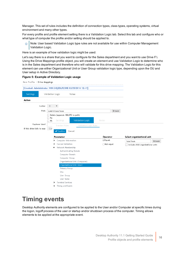Manager. This set of rules includes the definition of connection types, class types, operating systems, virtual environment and many other types.

For every profile and profile element setting there is a Validation Logic tab. Select this tab and configure who or what type of computer the profile and/or setting should be applied to.

 $\circ$  Note: User based Validation Logic type rules are not available for use within Computer Management Validation Logic.

Here is an example of how validation logic might be used:

Let's say there is a share that you want to configure for the Sales department and you want to use Drive F:\. Using the Drive Mappings profile object, you will create an element and use Validation Logic to determine who is in the Sales department and therefore who will validate for this drive mapping. The Validation Logic for this element can use either Organizational Unit or User Group validation logic type, depending upon the OU and User setup in Active Directory.

### **Figure 5: Example of Validation Logic usage**

| New Profile . Drive Mappings |                                                           |             |                                    |
|------------------------------|-----------------------------------------------------------|-------------|------------------------------------|
|                              | [Created: Administrator WIN-S4Q2DLR23H8 02/25/2014 12:41] |             |                                    |
| Settings                     | Validation Logic<br>Notes                                 |             |                                    |
| Action                       |                                                           |             |                                    |
| Letter                       | D<br>▼                                                    |             |                                    |
| Path                         | Lo461G\SalesTeam                                          | Browse      |                                    |
|                              | Delete (appends /DELETE to path)                          |             |                                    |
|                              | Pe<br>Validation Logic<br>Settings<br>Hi                  | Notes       |                                    |
| Explorer label               | <b>Standard Rules</b><br>Validation Logic Rules           |             |                                    |
| If this drive fails to map   | Cor<br>$\blacktriangleright$ Confirm<br>Cancel            |             |                                    |
|                              | Parameter                                                 | Operator    | Select organizational unit         |
|                              | > Computer Information                                    | ®Equals     | Browse<br>SalesTeam                |
|                              | Custom Validation<br>⋗                                    | ◯ Not equal | Include child organizational units |
|                              | Network Membership<br>$\check{ }$                         |             |                                    |
|                              | Authenticating Domain                                     |             |                                    |
|                              | Computer Domain                                           |             |                                    |
|                              | Computer Group                                            |             |                                    |
|                              | Organizational Unit (Computer)                            |             |                                    |
|                              | Organizational Unit (User)                                |             |                                    |
|                              | Primary Group                                             |             |                                    |
|                              | Site                                                      |             |                                    |
|                              | User Group                                                |             |                                    |
|                              | User Name                                                 |             |                                    |
|                              | Terminal Services<br>⋗                                    |             |                                    |
|                              | Timing and Events<br>⋗                                    |             |                                    |

### <span id="page-15-0"></span>**Timing events**

Desktop Authority elements are configured to be applied to the User and/or Computer at specific times during the logon, logoff process of the user or startup and/or shutdown process of the computer. Timing allows elements to be applied at the appropriate event.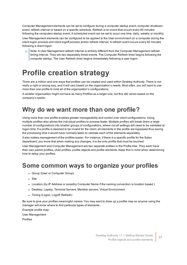Computer Management elements can be set to configure during a computer startup event, computer shutdown event, refresh interval or based on a specific schedule. Refresh is an event that occurs every 60 minutes following the computers startup event. A scheduled event can be set to occur one time, daily, weekly or monthly.

User Management elements can be configured to be applied to the User environment on a computer during the client logon process and client logoff process and/or refresh interval. A refresh event occurs every 60 minutes following a client logon.

Note: A User Management refresh interval is entirely different from the Computer Management refresh timing interval. They are two separately timed events. The Computer Refresh timer begins following the computer startup. The User Refresh timer begins immediately following a user logon.

## <span id="page-16-0"></span>**Profile creation strategy**

There are a million and one ways that profiles can be created and used within Desktop Authority. There is not really a right or wrong way, and it will vary based on the organization's needs. Most often, you will want to use more than one profile to hold all of the organization's configurations.

A smaller organization might not have as many Profiles as a larger one, but this still varies based on the company's needs.

### <span id="page-16-1"></span>**Why do we want more than one profile?**

Using more than one profile enables greater manageability and control over client configurations. Using multiple profiles also allows the individual profiles to process faster. Multiple profiles will break down a large number of configurations into smaller groups of configurations, where not all settings will need to be validated at logon time. If a profile is deemed to be invalid for the client, all elements in the profile are bypassed thus saving the processing time it would have normally taken to validate each of the elements separately.

It also makes management of the profiles easier. For instance, if there is a specific profile for the Sales department, you know that when making any changes, it is the only profile that must be touched.

User Management and Computer Management are two separate entities in the Profile tree. They each have their own parent profiles, child profiles, profile objects and profile elements. Keep this in mind when determining how to setup your profiles.

### <span id="page-16-2"></span>**Some common ways to organize your profiles**

- Group (User or Computer Group)
- Site
- Location (by IP Address or possibly Computer Name if the naming convention is location based.)
- Desktop, Laptop, Terminal Servers, Member servers, Virtual Environment.
- Timing (Logon, Logoff, Refresh)

Be sure to give your profiles meaningful names. You may want to draw up a profile map so anyone using the manager will know where to find particular types of elements..

Example profile map:

User Management

Profiles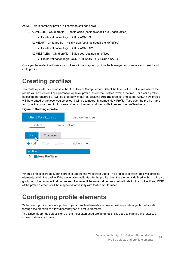ACME – Main company profile (all common settings here)

- ACME.STL Child profile Seattle office (settings specific to Seattle office)
	- Profile validation logic: SITE = ACME.STL
- ACME.NY Child profile NY division (settings specific to NY office)
	- $\bullet$  Profile validation logic: SITE = ACME.NY
- ACME.SALES Child profile Sales dept settings, all offices
	- Profile validation logic: COMPUTER/USER GROUP = SALES

Once you have decided how your profiles will be mapped, go into the Manager and create each parent and child profile.

### <span id="page-17-0"></span>**Creating profiles**

To create a profile, first choose either the User or Computer tab. Select the level of the profile tree where the profile will be created. For a parent or top level profile, select the Profiles level in the tree. For a child profile, select the parent profile it will be created within. Next click the **Actions** drop list and select Add. A new profile will be created at the level you selected. It will be temporarily named New Profile. Type over the profile name and give it a more meaningful name. You can then expand the profile to reveal the profile objects.

### **Figure 6: Creating a profile**



When a profile is created, don't forget to update the Validation Logic. The profile validation logic will affect all elements within the profile. If the workstation validates for the profile, then the elements defined within it will also go through their own validation process. However if the workstation does not validate for the profile, then NONE of the profile elements will be inspected for validity with that computer/user.

### <span id="page-17-1"></span>**Configuring profile elements**

Within each profile there are profile objects. Profile elements are created within profile objects. Let's walk through the creation of a few different types of profile elements.

The Drive Mappings object is one of the most often used profile objects. It is used to map a drive letter to a shared network resource.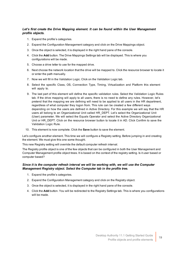### *Let's first create the Drive Mapping element. It can be found within the User Management profile objects.*

- 1. Expand the profile's categories.
- 2. Expand the Configuration Management category and click on the Drive Mappings object.
- 3. Once the object is selected, it is displayed in the right hand pane of the console.
- 4. Click the **Add** button. The Drive Mappings Settings tab will be displayed. This is where you configurations will be made.
- 5. Choose a drive letter to use for the mapped drive.
- 6. Next choose the network location that the drive will be mapped to. Click the resource browser to locate it or enter the path manually.
- 7. Now we will fill in the Validation Logic. Click on the Validation Logic tab.
- 8. Select the specific Class, OS, Connection Type, Timing, Virtualization and Platform this element will apply to.
- 9. The last part of this element will define the specific validation rules. Select the Validation Logic Rules tab. If the drive mapping will apply to all users, there is no need to define any rules. However, let's pretend that the mapping we are defining will need to be applied to all users in the HR department, regardless of what computer they logon from. This rule can be created a few different ways depending on how the users are defined in Active Directory. For this example we will say that the HR users all belong to an Organizational Unit called HR\_DEPT. Let's select the Organizational Unit (User) parameter. We will select the Equals Operator and select the Active Directory Organizational Unit or HR\_DEPT. Click on the resource browser button to locate it in AD. Click Confirm to save the Validation Logic Rule.
- 10. This element is now complete. Click the **Save** button to save the element.

Let's configure another element. This time we will configure a Registry setting. Before jumping in and creating the element. We must give this one some thought.

This new Registry setting will override the default computer refresh interval.

The Registry profile object is one of the few objects that can be configured in both the User Management and Computer Management profile object trees. It is based on the context of the registry setting. Is it user based or computer based?

### *Since it is the computer refresh interval we will be working with, we will use the Computer Management Registry object. Select the Computer tab in the profile tree.*

- 1. Expand the profile's categories.
- 2. Expand the Configuration Management category and click on the Registry object.
- 3. Once the object is selected, it is displayed in the right hand pane of the console.
- 4. Click the **Add** button. You will be redirected to the Registry Settings tab. This is where you configurations will be made.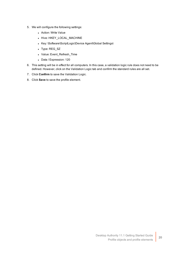- 5. We will configure the following settings:
	- Action: Write Value
	- Hive: HKEY\_LOCAL\_MACHINE
	- Key: \Software\ScriptLogic\Device Agent\Global Settings\
	- Type: REG\_SZ
	- Value: Event\_Refresh\_Time
	- Data / Expression: 120
- 6. This setting will be in effect for all computers. In this case, a validation logic rule does not need to be defined. However, click on the Validation Logic tab and confirm the standard rules are all set.
- 7. Click **Confirm** to save the Validation Logic.
- 8. Click **Save** to save the profile element.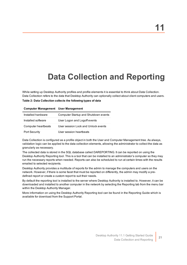# **Data Collection and Reporting**

<span id="page-20-0"></span>While setting up Desktop Authority profiles and profile elements it is essential to think about Data Collection. Data Collection refers to the data that Desktop Authority can optionally collect about client computers and users.

**Table 2: Data Collection collects the following types of data**

| <b>Computer Management User Management</b> |                                      |
|--------------------------------------------|--------------------------------------|
| Installed hardware                         | Computer Startup and Shutdown events |
| Installed software                         | User Logon and Logoff events         |
| Computer heartbeats                        | User session Lock and Unlock events  |
| <b>Port Security</b>                       | User session heartbeats              |

Data Collection is configured as a profile object in both the User and Computer Management tree. As always, validation logic can be applied to the data collection elements, allowing the administrator to collect the data as granularly as necessary.

The collected data is stored in the SQL database called DAREPORTING. It can be reported on using the Desktop Authority Reporting tool. This is a tool that can be installed to an administrator's computer so they may run the necessary reports when needed. Reports can also be scheduled to run at certain times with the results emailed to selected recipients.

Desktop Authority provides a multitude of reports for the admin to manage the computers and users on the network. However, if there is some facet that must be reported on differently, the admin may modify a predefined report or create a custom report to suit their needs.

By default the reporting tool is installed to the server where Desktop Authority is installed to. However, it can be downloaded and installed to another computer in the network by selecting the Reporting tab from the menu bar within the Desktop Authority Manager.

More information on using the Desktop Authority Reporting tool can be found in the Reporting Guide which is available for download from the Support Portal.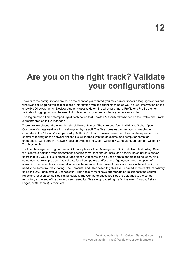# <span id="page-21-0"></span>**Are you on the right track? Validate your configurations**

To ensure the configurations are set on the client as you wanted, you may turn on trace file logging to check out what was set. Logging will collect specific information from the client machine as well as user information based on Active Directory, which Desktop Authority uses to determine whether or not a Profile or a Profile element validates. Logging can also be used to troubleshoot any future problems you may encounter.

The log creates a timed stamped log of each action that Desktop Authority takes based on the Profile and Profile elements created in DA Manager.

There are two places where logging should be configured. They are both found within the Global Options. Computer Management logging is always on by default. The files it creates can be found on each client computer in the "%windir%\temp\Desktop Authority" folder. However these client files can be uploaded to a central repository on the network and the file is renamed with the date, time, and computer name for uniqueness. Configure the network location by selecting Global Options > Computer Management Options > Troubleshooting.

For User Management logging, select Global Options > User Management Options > Troubleshooting. Select the "Create a detailed trace file for these specific computers and/or users" and specify the computers and/or users that you would like to create a trace file for. Wildcards can be used here to enable logging for multiple computers, for example use "\*" to validate for all computers and/or users. Again, you have the option of uploading the trace files to a central folder on the network. This makes for easier access to these files if you need to do some troubleshooting. The Computer and User based log files are uploaded to the central repository using the DA Administrative User account. This account must have appropriate permissions to the central repository location so the files can be copied. The Computer based log files are uploaded to the central repository at the end of the day and user based log files are uploaded right after the event (Logon, Refresh, Logoff, or Shutdown) is complete.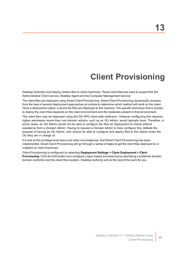# **Client Provisioning**

<span id="page-22-0"></span>Desktop Authority must deploy certain files to client machines. These client files are used to support the DA Administrative Client service, Desktop Agent and the Computer Management service.

The client files are deployed using Smart Client Provisioning. Smart Client Provisioning dynamically chooses from the best of several deployment approaches at runtime to determine which method will work on the client. Once a deployment option is found the files are deployed to the machine. The specific technique that is chosen to deploy the client files depends on the client environment and the obstacles present in that environment.

The client files may be deployed using the DA GPO client side extension. However configuring this requires higher permission levels than non-domain admins, such as an OU Admin, would typically have. Therefore, in some cases, an OU Admin would not be able to configure the files for deployment to clients without assistance from a Domain Admin. Having to request a Domain Admin to help configure this, defeats the purpose of having an OU Admin, who should be able to configure and deploy files to the clients under the OU they are in charge of.

It is due to this privilege level issue and other circumstances, that Smart Client Provisioning has been implemented. Smart Client Provisioning will go through a series of steps to get the client files deployed to or installed on client machines.

Client Provisioning is configured by selecting **Deployment Settings > Client Deployment > Client Provisioning**. Click the Edit button and configure Logon-based provisioning by specifying a preferred domain, domain controller and the client files location. Desktop Authority will do the rest of the work for you.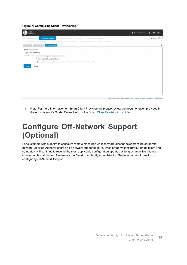#### **Figure 7: Configuring Client Provisioning**

| ACE <sup>®</sup><br>Desktop Authority                                                                                                         | ■ ITACHI\Administrator ▼ | Ö<br>A       | $\mathbf{a}$                      |                          |
|-----------------------------------------------------------------------------------------------------------------------------------------------|--------------------------|--------------|-----------------------------------|--------------------------|
| <b>Deployment Settings</b><br>Client Configuration<br><b>Console Access Settings</b><br>Remote Management<br>Reporting                        |                          |              | Favorites $\bigoplus$ $\bigoplus$ |                          |
| Software Distribution<br>Off Network Configuration<br>Client Deployment<br>System Configuration<br>RM Gateway Configuration<br>Server Manager |                          |              |                                   |                          |
| <b>Client Provisioning</b><br><b>GPO Deployment</b><br><b>Assign Scrip</b>                                                                    |                          |              |                                   | $\circ$                  |
| <b>Editing Client Provisioning</b>                                                                                                            |                          |              |                                   | $\mathbf{A}$<br>ш        |
| Logon based provisioning                                                                                                                      |                          |              |                                   |                          |
| Client files location<br>UBM Replication Target (ex. Netlogon)<br>$\color{blue}\star$                                                         |                          |              |                                   |                          |
| Display error message if provisioning fails<br>Allow UAC dialog to be displayed if necessary                                                  |                          |              |                                   |                          |
|                                                                                                                                               |                          |              |                                   | $\overline{\phantom{a}}$ |
| Loaded in 0.33 seconds   Version 10.1.0.904 Beta1  Customer Feedback                                                                          |                          | Registration | <b>Getting Started</b>            |                          |

Note: For more information on Smart Client Provisioning, please review the documentation provided in  $\odot$ the Administrator's Guide, Online Help, or the Smart Client [Provisioning](http://webservices.scriptlogic.com/links?HelpFile=SmartClientProvisioning&Ver=9.0) article.

## <span id="page-23-0"></span>**Configure Off-Network Support (Optional)**

For customers with a desire to configure remote machines while they are disconnected from the corporate network, Desktop Authority offers an off-network support feature. Once properly configured, remote users and computers will continue to receive the most applicable configuration updates as long as an active internet connection is maintained. Please see the Desktop Authority Administration Guide for more information on configuring Off-Network Support.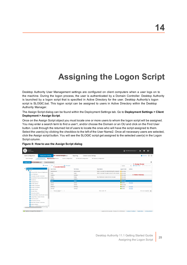# **Assigning the Logon Script**

<span id="page-24-0"></span>Desktop Authority User Management settings are configured on client computers when a user logs on to the machine. During the logon process, the user is authenticated by a Domain Controller. Desktop Authority is launched by a logon script that is specified in Active Directory for the user. Desktop Authority's logon script is SLOGIC.bat. This logon script can be assigned to users in Active Directory within the Desktop Authority Manager.

The Assign Script dialog can be found within the Deployment Settings tab. Go to **Deployment Settings > Client Deployment > Assign Script**.

Once on the Assign Script object you must locate one or more users to whom the logon script will be assigned. You may enter a search term to find a user1, and/or choose the Domain or an OU and click on the Find User button. Look through the returned list of users to locate the ones who will have the script assigned to them. Select the user(s) by clicking the checkbox to the left of the User Name2. Once all necessary users are selected, click the Assign script button. You will see the SLOGIC script get assigned to the selected user(s) in the Logon Script column.

| <b>ACE</b><br><b>Jesicsop Authority</b>                |                                     |                                                                        |                                             |                                                                      |                     | TACHI\Administrator v<br>$\bullet$<br>$\mathbf{Q}$<br>۰                                            |
|--------------------------------------------------------|-------------------------------------|------------------------------------------------------------------------|---------------------------------------------|----------------------------------------------------------------------|---------------------|----------------------------------------------------------------------------------------------------|
| <b>Client Configuration</b>                            | <b>Deployment Settings</b>          | <b>Remote Management</b>                                               | <b>Console Access Settings</b><br>Reporting |                                                                      |                     | Favorites $\qquad \qquad \textcircled{\scriptsize{+}} \qquad \qquad \textcircled{\scriptsize{+}}}$ |
| Server Manager                                         | <b>Client Deployment</b>            | <b>System Configuration</b><br>Software Distribution                   | Off Network Configuration                   | <b>RM Gateway Configuration</b>                                      |                     |                                                                                                    |
| <b>Assign Script</b><br>GPO Deptoyment                 | <b>Client Provisioning</b>          |                                                                        |                                             |                                                                      |                     | $\mathbf{r}$                                                                                       |
|                                                        | <b>C</b> Refresh                    | $\blacksquare$<br>Q Find users<br>1. Locate User(s)                    |                                             |                                                                      | <b>SLOGIC</b>       | 3. Assign Script<br>图 Assign script<br><b>E</b> Unassign script<br>٠                               |
| v <b>L</b> itachi.local                                |                                     | <b>User Name</b>                                                       | <b>Full Name</b>                            | Description                                                          | <b>Logon Script</b> | <b>Actions</b>                                                                                     |
| $\vee$ <b>Re</b> Users                                 | Allowed RODC Password Replication   | Administrator                                                          | Administrator                               | Built-in account for administering the computer In No script         |                     |                                                                                                    |
| <b>ALL</b> Cert Publishers                             |                                     | Guest                                                                  | Guest                                       | Built-in account for guest access to the comput In No script         |                     |                                                                                                    |
| Cloneable Domain Controllers                           |                                     | melabox                                                                | melabox                                     |                                                                      | No script           | 2. Select User(s)                                                                                  |
|                                                        | Denied RODC Password Replication G  | krbtgt                                                                 | krbtgt                                      | Key Distribution Center Service Account                              | No script           |                                                                                                    |
| <b>Conduction</b>                                      |                                     | sladmin                                                                | sladmin                                     |                                                                      | No script           |                                                                                                    |
| <b>Contract</b> DosUpdateProxy                         |                                     | sluser                                                                 | sluser                                      |                                                                      | No script           |                                                                                                    |
| <b>Comain Admins</b>                                   |                                     | userxp                                                                 | userxp                                      |                                                                      | SLOGIC              | Unassign                                                                                           |
| Domain Computers                                       |                                     | adminx                                                                 | adminx                                      |                                                                      | No script           |                                                                                                    |
| <b>Comain Controllers</b>                              |                                     | adminxp                                                                | adminxp                                     |                                                                      | $\bullet$ SLOGIC    | Unassign                                                                                           |
| <b>Comain Guests</b>                                   |                                     | userxp2                                                                | userxp2                                     |                                                                      | SLOGIC              | Unassign                                                                                           |
| <b>Comain Users</b>                                    |                                     | $\vert \zeta \vert \zeta$ Page 1 Go of 1 $\rangle$ $\vert \zeta \vert$ |                                             | Item count: 10                                                       |                     | Items per page 50 Go                                                                               |
| <b>Conterprise Admins</b>                              |                                     |                                                                        |                                             |                                                                      |                     |                                                                                                    |
|                                                        | Enterprise Read-only Domain Control |                                                                        |                                             |                                                                      |                     |                                                                                                    |
| <b>Comp Policy Creator Owners</b>                      |                                     |                                                                        |                                             |                                                                      |                     |                                                                                                    |
| <b>Protected Users</b>                                 |                                     |                                                                        |                                             |                                                                      |                     |                                                                                                    |
| <b>Con</b> RAS and IAS Servers                         |                                     |                                                                        |                                             |                                                                      |                     |                                                                                                    |
| Read-only Domain Controllers                           |                                     |                                                                        |                                             |                                                                      |                     |                                                                                                    |
| Schema Admins                                          |                                     |                                                                        |                                             |                                                                      |                     |                                                                                                    |
|                                                        | SQLServer2005SQLBrowserUser\$2012   |                                                                        |                                             |                                                                      |                     |                                                                                                    |
| Replicate changed files (default) $\blacktriangledown$ |                                     |                                                                        |                                             | Loaded in 0.36 seconds   Version 10.1.0.904 Beta1  Customer Feedback |                     | Registration<br><b>Getting Started</b>                                                             |

### **Figure 8: How to use the Assign Script dialog**

25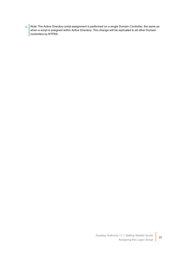Note: The Active Directory script assignment is performed on a single Domain Controller, the same as when a script is assigned within Active Directory. This change will be replicated to all other Domain controllers by NTFRS.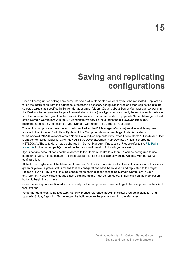# **Saving and replicating configurations**

<span id="page-26-0"></span>Once all configuration settings are complete and profile elements created they must be replicated. Replication takes the information from the database, creates the necessary configuration files and then copies them to the selected targets as specified in Server Manager target folders. (Details about Server Manager can be found in the Desktop Authority online help or Administrator's Guide.) In a typical environment, the replication targets are subdirectories under Sysvol on the Domain Controllers. It is recommended to populate Server Manager with all of the Domain Controllers with the DA Administrative service installed to them. However, it is highly recommended to only select one of your Domain Controllers as a target for replication.

The replication process uses the account specified for the DA Manager (Console) service, which requires access to the Domain Controllers. By default, the Computer Management target folder is located at "C:\Windows\SYSVOL\sysvol\Domain.Name\Policies\Desktop Authority\Device Policy Master". The default User Management target folder is "C:\Windows\SYSVOL\sysvol\Domain.Name\scripts", which is shared as NETLOGON. These folders may be changed in Server Manager, if necessary. Please refer to the File [Paths](#page-27-0) [appendix](#page-27-0) for the correct path(s) based on the version of Desktop Authority you are using.

If your service account does not have access to the Domain Controllers, then DA can be configured to use member servers. Please contact Technical Support for further assistance working within a Member Server configuration.

At the bottom right-side of the Manager, there is a Replication status indicator. The status indicator will show as green or yellow. A green status means that all configurations have been saved and replicated to the target. Please allow NTFRS to replicate the configuration settings to the rest of the Domain Controllers in your environment. Yellow status means that the configurations must be replicated. Simply click on the Replication button to begin the process.

Once the settings are replicated you are ready for the computer and user settings to be configured on the client workstations.

For further details on using Desktop Authority, please reference the Administrator's Guide, Installation and Upgrade Guide, Reporting Guide and/or the built-in online help when running the Manager.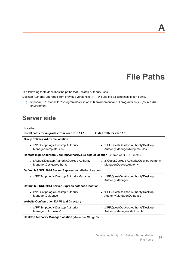# **File Paths**

**A**

<span id="page-27-0"></span>The following table describes the paths that Desktop Authority uses.

Desktop Authority upgrades from previous versions to 11.1 will use the existing installation paths.

 $\circledcirc$  Important: PF stands for %programfiles% in an x86 environment and %programfiles(x86)% in a x64 environment

### <span id="page-27-1"></span>**Server side**

| Location                                                                             |                                                                            |
|--------------------------------------------------------------------------------------|----------------------------------------------------------------------------|
| Install paths for upgrades from ver 9.x to 11.1                                      | <b>Install Path for ver 11.1</b>                                           |
| <b>Group Policies Admx file location</b>                                             |                                                                            |
| • x:\PF\ScriptLogic\Desktop Authority<br>Manager\TemplateFiles                       | • x:\PF\Quest\Desktop Authority\Desktop<br>Authority Manager\TemplateFiles |
| Remote Mgmt Alternate DesktopAuthority.exe default location (shared as SLDAClient\$) |                                                                            |
| • x:\Quest\Desktop Authority\Desktop Authority<br>Manager\DesktopAuthority           | • x:\Quest\Desktop Authority\Desktop Authority<br>Manager\DesktopAuthority |
| Default MS SQL 2014 Server Express installation location                             |                                                                            |
| • x:\PF\ScriptLogic\Desktop Authority Manager                                        | • x:\PF\Quest\Desktop Authority\Desktop<br><b>Authority Manager</b>        |
| Default MS SQL 2014 Server Express database location                                 |                                                                            |
| • x:\PF\ScriptLogic\Desktop Authority<br>Manager\Database                            | • x:\PF\Quest\Desktop Authority\Desktop<br>Authority Manager\Database      |
| <b>Website Configuration DA Virtual Directory</b>                                    |                                                                            |
| • x:\PF\ScriptLogic\Desktop Authority<br>Manager\DAConsole\                          | • x:\PF\Quest\Desktop Authority\Desktop<br>Authority Manager\DAConsole\    |
|                                                                                      |                                                                            |

**Desktop Authority Manager location** (shared as SLogic\$)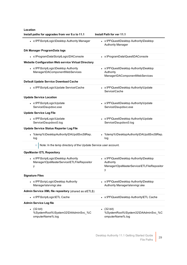**Location**

| Install paths for upgrades from ver 9.x to 11.1                                         | Install Path for ver 11.1                                                                              |
|-----------------------------------------------------------------------------------------|--------------------------------------------------------------------------------------------------------|
| • x:\PF\ScriptLogic\Desktop Authority Manager                                           | • x:\PF\Quest\Desktop Authority\Desktop<br><b>Authority Manager</b>                                    |
| DA Manager ProgramData logs                                                             |                                                                                                        |
| • x:\ProgramData\ScriptLogic\DAConsole                                                  | • x:\ProgramData\Quest\DAConsole                                                                       |
| <b>Website Configuration Web service Virtual Directory</b>                              |                                                                                                        |
| • x:\PF\ScriptLogic\Desktop Authority<br>Manager\DAComponentWebServices                 | • x:\PF\Quest\Desktop Authority\Desktop<br>Authority<br>Manager\DAComponentWebServices                 |
| <b>Default Update Service Download Cache</b>                                            |                                                                                                        |
| • x:\PF\ScriptLogic\Update Service\Cache                                                | • x:\PF\Quest\Desktop Authority\Update<br>Service\Cache                                                |
| <b>Update Service Location</b>                                                          |                                                                                                        |
| • x:\PF\ScriptLogic\Update<br>Service\Daupdsvc.exe                                      | • x:\PF\Quest\Desktop Authority\Update<br>Service\Daupdsvc.exe                                         |
| <b>Update Service Log File</b>                                                          |                                                                                                        |
| • x:\PF\ScriptLogic\Update<br>Service\Daupdsvc0.log                                     | • x:\PF\Quest\Desktop Authority\Update<br>Service\Daupdsvc0.log                                        |
| <b>Update Service Status Reporter Log File</b>                                          |                                                                                                        |
| %temp%\DesktopAuthority\DAUpdtSvcStRep.<br>log                                          | • %temp%\DesktopAuthority\DAUpdtSvcStRep.<br>log                                                       |
| Note: In the temp directory of the Update Service user account.                         |                                                                                                        |
| <b>OpsMaster ETL Repository</b>                                                         |                                                                                                        |
| • x:\PF\ScriptLogic\Desktop Authority<br>Manager\OpsMasterService\ETLFileRepositor<br>у | • x:\PF\Quest\Desktop Authority\Desktop<br>Authority<br>Manager\OpsMasterService\ETLFileRepositor<br>у |
| <b>Signature Files</b>                                                                  |                                                                                                        |
| • x:\PF\ScripLogic\Desktop Authority<br>Manager\slsrvmgr.ske                            | • x:\PF\Quest\Desktop Authority\Desktop<br>Authority Manager\slsrvmgr.ske                              |
| Admin Service XML file repository (shared as sIETL\$)                                   |                                                                                                        |
| • x:\PF\ScriptLogic\ETL Cache                                                           | • x:\PF\Quest\Desktop Authority\ETL Cache                                                              |
| <b>Admin Service Log file</b>                                                           |                                                                                                        |
| • $(32-bit)$<br>%SystemRoot%\System32\DAAdminSvc_%C<br>omputerName%.log                 | $(32-bit)$<br>%SystemRoot%\System32\DAAdminSvc_%C<br>omputerName%.log                                  |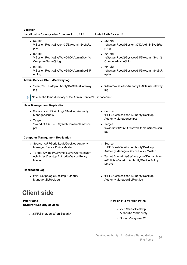| Location |
|----------|
|----------|

| Install paths for upgrades from ver 9.x to 11.1                                                                                                                                     | Install Path for ver 11.1                                                                          |
|-------------------------------------------------------------------------------------------------------------------------------------------------------------------------------------|----------------------------------------------------------------------------------------------------|
| $(32-bit)$<br>%SystemRoot%\System32\DAAdminSvcStRe<br>p.log                                                                                                                         | $(32-bit)$<br>%SystemRoot%\System32\DAAdminSvcStRe<br>p.log                                        |
| $(64-bit)$<br>%SystemRoot%\SysWow64\DAAdminSvc_%<br>ComputerName%.log                                                                                                               | (64-bit)<br>%SystemRoot%\SysWow64\DAAdminSvc_%<br>ComputerName%.log                                |
| $(64-bit)$<br>%SystemRoot%\SysWow64\DAAdminSvcStR<br>ep.log                                                                                                                         | (64-bit)<br>$\bullet$<br>%SystemRoot%\SysWow64\DAAdminSvcStR<br>ep.log                             |
| <b>Admin Service Status Gateway log</b>                                                                                                                                             |                                                                                                    |
| • %temp%\DesktopAuthority\DAStatusGateway.<br>log                                                                                                                                   | %temp%\DesktopAuthority\DAStatusGateway.<br>log                                                    |
| Note: In the temp directory of the Admin Service's user account.<br>$^\circledR$                                                                                                    |                                                                                                    |
| <b>User Management Replication</b>                                                                                                                                                  |                                                                                                    |
| • Source: x:\PF\ScriptLogic\Desktop Authority<br>Manager\scripts<br>• Target:                                                                                                       | • Source:<br>x:\PF\Quest\Desktop Authority\Desktop<br>Authority Manager\scripts                    |
| %windir%\SYSVOL\sysvol\DomainName\scri<br>pts                                                                                                                                       | • Target:<br>%windir%\SYSVOL\sysvol\DomainName\scri<br>pts                                         |
| <b>Computer Management Replication</b>                                                                                                                                              |                                                                                                    |
| • Source: x:\PF\ScriptLogic\Desktop Authority<br>Manager\Device Policy Master<br>• Target: %windir%\SysVol\sysvol\DomainNam<br>e\Policies\Desktop Authority\Device Policy<br>Master | • Source:<br>x:\PF\Quest\Desktop Authority\Desktop<br>Authority Manager\Device Policy Master       |
|                                                                                                                                                                                     | • Target: %windir%\SysVol\sysvol\DomainNam<br>e\Policies\Desktop Authority\Device Policy<br>Master |
| <b>Replication Log</b>                                                                                                                                                              |                                                                                                    |
| • x:\PF\ScriptLogic\Desktop Authority<br>Manager\SLRepl.log                                                                                                                         | • x:\PF\Quest\Desktop Authority\Desktop<br>Authority Manager\SLRepl.log                            |
| <b>Client side</b>                                                                                                                                                                  |                                                                                                    |
| <b>Prior Paths</b><br><b>USB/Port Security devices</b>                                                                                                                              | New or 11.1 Version Paths                                                                          |
|                                                                                                                                                                                     | • x:\PF\Quest\Desktop                                                                              |

<span id="page-29-0"></span>• x:\PF\ScriptLogic\Port Security

- Authority\PortSecurity
- %windir%\system32

Desktop Authority 11.1 Getting Started Guide File Paths<sup>30</sup>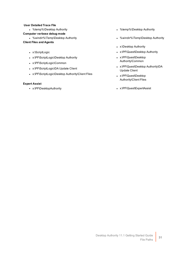### **User Detailed Trace File**

### **Computer verbose debug mode**

### **Client Files and Agents**

- x:\ScriptLogic
- x:\PF\ScriptLogic\Desktop Authority
- x:\PF\ScriptLogic\Common
- x:\PF\ScriptLogic\DA Update Client
- x:\PF\ScriptLogic\Desktop Authority\Client Files

### **Expert Assist**

- %temp%\Desktop Authority **and Struthority and Struthority and Struthority and Struthority and Struthority and Struthority and Struthority and Struthority**
- %windir%\Temp\Desktop Authority in the state of which windir%\Temp\Desktop Authority
	- x:\Desktop Authority
	- x:\PF\Quest\Desktop Authority
	- x:\PF\Quest\Desktop Authority\Common
	- x:\PF\Quest\Desktop Authority\DA Update Client
	- x:\PF\Quest\Desktop Authority\Client Files
- <sup>l</sup> x:\PF\DesktopAuthority <sup>l</sup> x:\PF\Quest\ExpertAssist